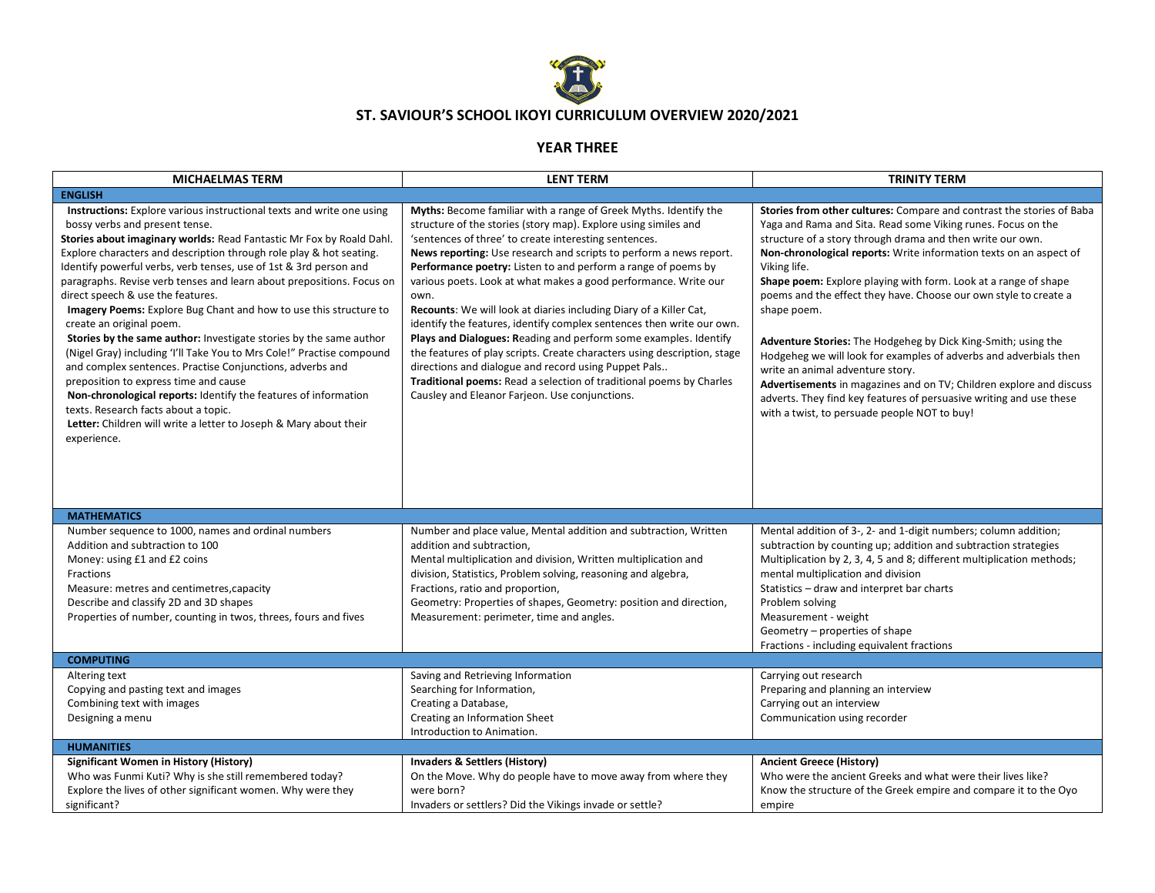

## **ST. SAVIOUR'S SCHOOL IKOYI CURRICULUM OVERVIEW 2020/2021**

## **YEAR THREE**

| <b>MICHAELMAS TERM</b>                                                                                                                                                                                                                                                                                                                                                                                                                                                                                                                                                                                                                                                                                                                                                                                                                                                                                                                                                                                | <b>LENT TERM</b>                                                                                                                                                                                                                                                                                                                                                                                                                                                                                                                                                                                                                                                                                                                                                                                                                                                                               | <b>TRINITY TERM</b>                                                                                                                                                                                                                                                                                                                                                                                                                                                                                                                                                                                                                                                                                                                                                                                                     |
|-------------------------------------------------------------------------------------------------------------------------------------------------------------------------------------------------------------------------------------------------------------------------------------------------------------------------------------------------------------------------------------------------------------------------------------------------------------------------------------------------------------------------------------------------------------------------------------------------------------------------------------------------------------------------------------------------------------------------------------------------------------------------------------------------------------------------------------------------------------------------------------------------------------------------------------------------------------------------------------------------------|------------------------------------------------------------------------------------------------------------------------------------------------------------------------------------------------------------------------------------------------------------------------------------------------------------------------------------------------------------------------------------------------------------------------------------------------------------------------------------------------------------------------------------------------------------------------------------------------------------------------------------------------------------------------------------------------------------------------------------------------------------------------------------------------------------------------------------------------------------------------------------------------|-------------------------------------------------------------------------------------------------------------------------------------------------------------------------------------------------------------------------------------------------------------------------------------------------------------------------------------------------------------------------------------------------------------------------------------------------------------------------------------------------------------------------------------------------------------------------------------------------------------------------------------------------------------------------------------------------------------------------------------------------------------------------------------------------------------------------|
| <b>ENGLISH</b>                                                                                                                                                                                                                                                                                                                                                                                                                                                                                                                                                                                                                                                                                                                                                                                                                                                                                                                                                                                        |                                                                                                                                                                                                                                                                                                                                                                                                                                                                                                                                                                                                                                                                                                                                                                                                                                                                                                |                                                                                                                                                                                                                                                                                                                                                                                                                                                                                                                                                                                                                                                                                                                                                                                                                         |
| <b>Instructions:</b> Explore various instructional texts and write one using<br>bossy verbs and present tense.<br>Stories about imaginary worlds: Read Fantastic Mr Fox by Roald Dahl.<br>Explore characters and description through role play & hot seating.<br>Identify powerful verbs, verb tenses, use of 1st & 3rd person and<br>paragraphs. Revise verb tenses and learn about prepositions. Focus on<br>direct speech & use the features.<br>Imagery Poems: Explore Bug Chant and how to use this structure to<br>create an original poem.<br>Stories by the same author: Investigate stories by the same author<br>(Nigel Gray) including 'I'll Take You to Mrs Cole!" Practise compound<br>and complex sentences. Practise Conjunctions, adverbs and<br>preposition to express time and cause<br>Non-chronological reports: Identify the features of information<br>texts. Research facts about a topic.<br>Letter: Children will write a letter to Joseph & Mary about their<br>experience. | Myths: Become familiar with a range of Greek Myths. Identify the<br>structure of the stories (story map). Explore using similes and<br>'sentences of three' to create interesting sentences.<br>News reporting: Use research and scripts to perform a news report.<br>Performance poetry: Listen to and perform a range of poems by<br>various poets. Look at what makes a good performance. Write our<br>own.<br>Recounts: We will look at diaries including Diary of a Killer Cat,<br>identify the features, identify complex sentences then write our own.<br>Plays and Dialogues: Reading and perform some examples. Identify<br>the features of play scripts. Create characters using description, stage<br>directions and dialogue and record using Puppet Pals<br>Traditional poems: Read a selection of traditional poems by Charles<br>Causley and Eleanor Farjeon. Use conjunctions. | Stories from other cultures: Compare and contrast the stories of Baba<br>Yaga and Rama and Sita. Read some Viking runes. Focus on the<br>structure of a story through drama and then write our own.<br>Non-chronological reports: Write information texts on an aspect of<br>Viking life.<br>Shape poem: Explore playing with form. Look at a range of shape<br>poems and the effect they have. Choose our own style to create a<br>shape poem.<br>Adventure Stories: The Hodgeheg by Dick King-Smith; using the<br>Hodgeheg we will look for examples of adverbs and adverbials then<br>write an animal adventure story.<br>Advertisements in magazines and on TV; Children explore and discuss<br>adverts. They find key features of persuasive writing and use these<br>with a twist, to persuade people NOT to buy! |
| <b>MATHEMATICS</b>                                                                                                                                                                                                                                                                                                                                                                                                                                                                                                                                                                                                                                                                                                                                                                                                                                                                                                                                                                                    |                                                                                                                                                                                                                                                                                                                                                                                                                                                                                                                                                                                                                                                                                                                                                                                                                                                                                                |                                                                                                                                                                                                                                                                                                                                                                                                                                                                                                                                                                                                                                                                                                                                                                                                                         |
| Number sequence to 1000, names and ordinal numbers<br>Addition and subtraction to 100<br>Money: using £1 and £2 coins<br>Fractions<br>Measure: metres and centimetres, capacity<br>Describe and classify 2D and 3D shapes<br>Properties of number, counting in twos, threes, fours and fives                                                                                                                                                                                                                                                                                                                                                                                                                                                                                                                                                                                                                                                                                                          | Number and place value, Mental addition and subtraction, Written<br>addition and subtraction,<br>Mental multiplication and division, Written multiplication and<br>division, Statistics, Problem solving, reasoning and algebra,<br>Fractions, ratio and proportion,<br>Geometry: Properties of shapes, Geometry: position and direction,<br>Measurement: perimeter, time and angles.                                                                                                                                                                                                                                                                                                                                                                                                                                                                                                          | Mental addition of 3-, 2- and 1-digit numbers; column addition;<br>subtraction by counting up; addition and subtraction strategies<br>Multiplication by 2, 3, 4, 5 and 8; different multiplication methods;<br>mental multiplication and division<br>Statistics - draw and interpret bar charts<br>Problem solving<br>Measurement - weight<br>Geometry – properties of shape<br>Fractions - including equivalent fractions                                                                                                                                                                                                                                                                                                                                                                                              |
| <b>COMPUTING</b>                                                                                                                                                                                                                                                                                                                                                                                                                                                                                                                                                                                                                                                                                                                                                                                                                                                                                                                                                                                      |                                                                                                                                                                                                                                                                                                                                                                                                                                                                                                                                                                                                                                                                                                                                                                                                                                                                                                |                                                                                                                                                                                                                                                                                                                                                                                                                                                                                                                                                                                                                                                                                                                                                                                                                         |
| Altering text<br>Copying and pasting text and images<br>Combining text with images<br>Designing a menu                                                                                                                                                                                                                                                                                                                                                                                                                                                                                                                                                                                                                                                                                                                                                                                                                                                                                                | Saving and Retrieving Information<br>Searching for Information,<br>Creating a Database,<br>Creating an Information Sheet<br>Introduction to Animation.                                                                                                                                                                                                                                                                                                                                                                                                                                                                                                                                                                                                                                                                                                                                         | Carrying out research<br>Preparing and planning an interview<br>Carrying out an interview<br>Communication using recorder                                                                                                                                                                                                                                                                                                                                                                                                                                                                                                                                                                                                                                                                                               |
| <b>HUMANITIES</b>                                                                                                                                                                                                                                                                                                                                                                                                                                                                                                                                                                                                                                                                                                                                                                                                                                                                                                                                                                                     |                                                                                                                                                                                                                                                                                                                                                                                                                                                                                                                                                                                                                                                                                                                                                                                                                                                                                                |                                                                                                                                                                                                                                                                                                                                                                                                                                                                                                                                                                                                                                                                                                                                                                                                                         |
| <b>Significant Women in History (History)</b><br>Who was Funmi Kuti? Why is she still remembered today?<br>Explore the lives of other significant women. Why were they<br>significant?                                                                                                                                                                                                                                                                                                                                                                                                                                                                                                                                                                                                                                                                                                                                                                                                                | Invaders & Settlers (History)<br>On the Move. Why do people have to move away from where they<br>were born?<br>Invaders or settlers? Did the Vikings invade or settle?                                                                                                                                                                                                                                                                                                                                                                                                                                                                                                                                                                                                                                                                                                                         | <b>Ancient Greece (History)</b><br>Who were the ancient Greeks and what were their lives like?<br>Know the structure of the Greek empire and compare it to the Oyo<br>empire                                                                                                                                                                                                                                                                                                                                                                                                                                                                                                                                                                                                                                            |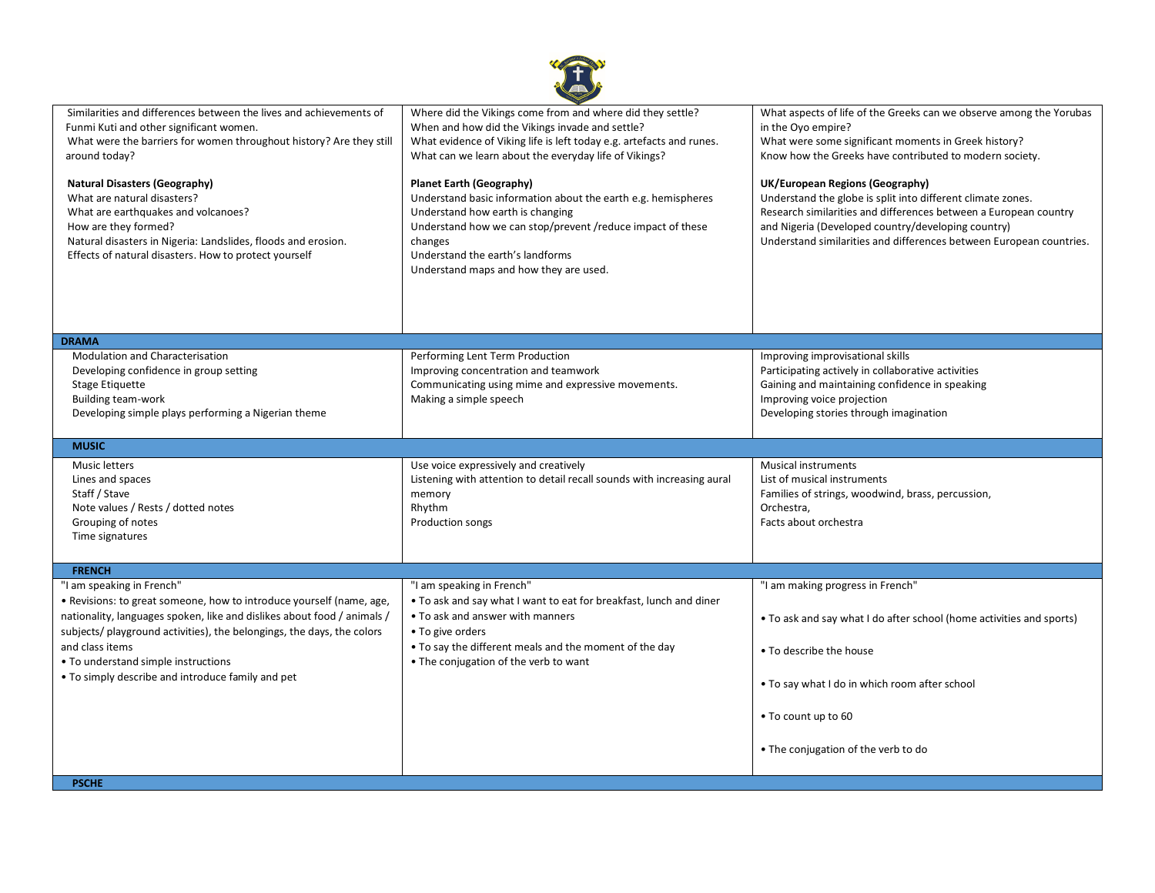

| Similarities and differences between the lives and achievements of<br>Funmi Kuti and other significant women.<br>What were the barriers for women throughout history? Are they still<br>around today?<br><b>Natural Disasters (Geography)</b><br>What are natural disasters?<br>What are earthquakes and volcanoes?<br>How are they formed?<br>Natural disasters in Nigeria: Landslides, floods and erosion.<br>Effects of natural disasters. How to protect yourself | Where did the Vikings come from and where did they settle?<br>When and how did the Vikings invade and settle?<br>What evidence of Viking life is left today e.g. artefacts and runes.<br>What can we learn about the everyday life of Vikings?<br><b>Planet Earth (Geography)</b><br>Understand basic information about the earth e.g. hemispheres<br>Understand how earth is changing<br>Understand how we can stop/prevent / reduce impact of these<br>changes<br>Understand the earth's landforms<br>Understand maps and how they are used. | What aspects of life of the Greeks can we observe among the Yorubas<br>in the Oyo empire?<br>What were some significant moments in Greek history?<br>Know how the Greeks have contributed to modern society.<br>UK/European Regions (Geography)<br>Understand the globe is split into different climate zones.<br>Research similarities and differences between a European country<br>and Nigeria (Developed country/developing country)<br>Understand similarities and differences between European countries. |
|-----------------------------------------------------------------------------------------------------------------------------------------------------------------------------------------------------------------------------------------------------------------------------------------------------------------------------------------------------------------------------------------------------------------------------------------------------------------------|------------------------------------------------------------------------------------------------------------------------------------------------------------------------------------------------------------------------------------------------------------------------------------------------------------------------------------------------------------------------------------------------------------------------------------------------------------------------------------------------------------------------------------------------|-----------------------------------------------------------------------------------------------------------------------------------------------------------------------------------------------------------------------------------------------------------------------------------------------------------------------------------------------------------------------------------------------------------------------------------------------------------------------------------------------------------------|
|                                                                                                                                                                                                                                                                                                                                                                                                                                                                       |                                                                                                                                                                                                                                                                                                                                                                                                                                                                                                                                                |                                                                                                                                                                                                                                                                                                                                                                                                                                                                                                                 |
| <b>DRAMA</b>                                                                                                                                                                                                                                                                                                                                                                                                                                                          |                                                                                                                                                                                                                                                                                                                                                                                                                                                                                                                                                |                                                                                                                                                                                                                                                                                                                                                                                                                                                                                                                 |
| Modulation and Characterisation<br>Developing confidence in group setting<br>Stage Etiquette<br><b>Building team-work</b><br>Developing simple plays performing a Nigerian theme                                                                                                                                                                                                                                                                                      | Performing Lent Term Production<br>Improving concentration and teamwork<br>Communicating using mime and expressive movements.<br>Making a simple speech                                                                                                                                                                                                                                                                                                                                                                                        | Improving improvisational skills<br>Participating actively in collaborative activities<br>Gaining and maintaining confidence in speaking<br>Improving voice projection<br>Developing stories through imagination                                                                                                                                                                                                                                                                                                |
| <b>MUSIC</b>                                                                                                                                                                                                                                                                                                                                                                                                                                                          |                                                                                                                                                                                                                                                                                                                                                                                                                                                                                                                                                |                                                                                                                                                                                                                                                                                                                                                                                                                                                                                                                 |
| Music letters<br>Lines and spaces<br>Staff / Stave<br>Note values / Rests / dotted notes<br>Grouping of notes<br>Time signatures                                                                                                                                                                                                                                                                                                                                      | Use voice expressively and creatively<br>Listening with attention to detail recall sounds with increasing aural<br>memory<br>Rhythm<br>Production songs                                                                                                                                                                                                                                                                                                                                                                                        | <b>Musical instruments</b><br>List of musical instruments<br>Families of strings, woodwind, brass, percussion,<br>Orchestra,<br>Facts about orchestra                                                                                                                                                                                                                                                                                                                                                           |
|                                                                                                                                                                                                                                                                                                                                                                                                                                                                       |                                                                                                                                                                                                                                                                                                                                                                                                                                                                                                                                                |                                                                                                                                                                                                                                                                                                                                                                                                                                                                                                                 |
| <b>FRENCH</b>                                                                                                                                                                                                                                                                                                                                                                                                                                                         |                                                                                                                                                                                                                                                                                                                                                                                                                                                                                                                                                |                                                                                                                                                                                                                                                                                                                                                                                                                                                                                                                 |
| "I am speaking in French"<br>• Revisions: to great someone, how to introduce yourself (name, age,<br>nationality, languages spoken, like and dislikes about food / animals /<br>subjects/ playground activities), the belongings, the days, the colors<br>and class items<br>• To understand simple instructions<br>• To simply describe and introduce family and pet                                                                                                 | "I am speaking in French"<br>. To ask and say what I want to eat for breakfast, lunch and diner<br>• To ask and answer with manners<br>• To give orders<br>• To say the different meals and the moment of the day<br>• The conjugation of the verb to want                                                                                                                                                                                                                                                                                     | "I am making progress in French"<br>• To ask and say what I do after school (home activities and sports)<br>• To describe the house<br>• To say what I do in which room after school<br>• To count up to 60<br>• The conjugation of the verb to do                                                                                                                                                                                                                                                              |
| <b>PSCHE</b>                                                                                                                                                                                                                                                                                                                                                                                                                                                          |                                                                                                                                                                                                                                                                                                                                                                                                                                                                                                                                                |                                                                                                                                                                                                                                                                                                                                                                                                                                                                                                                 |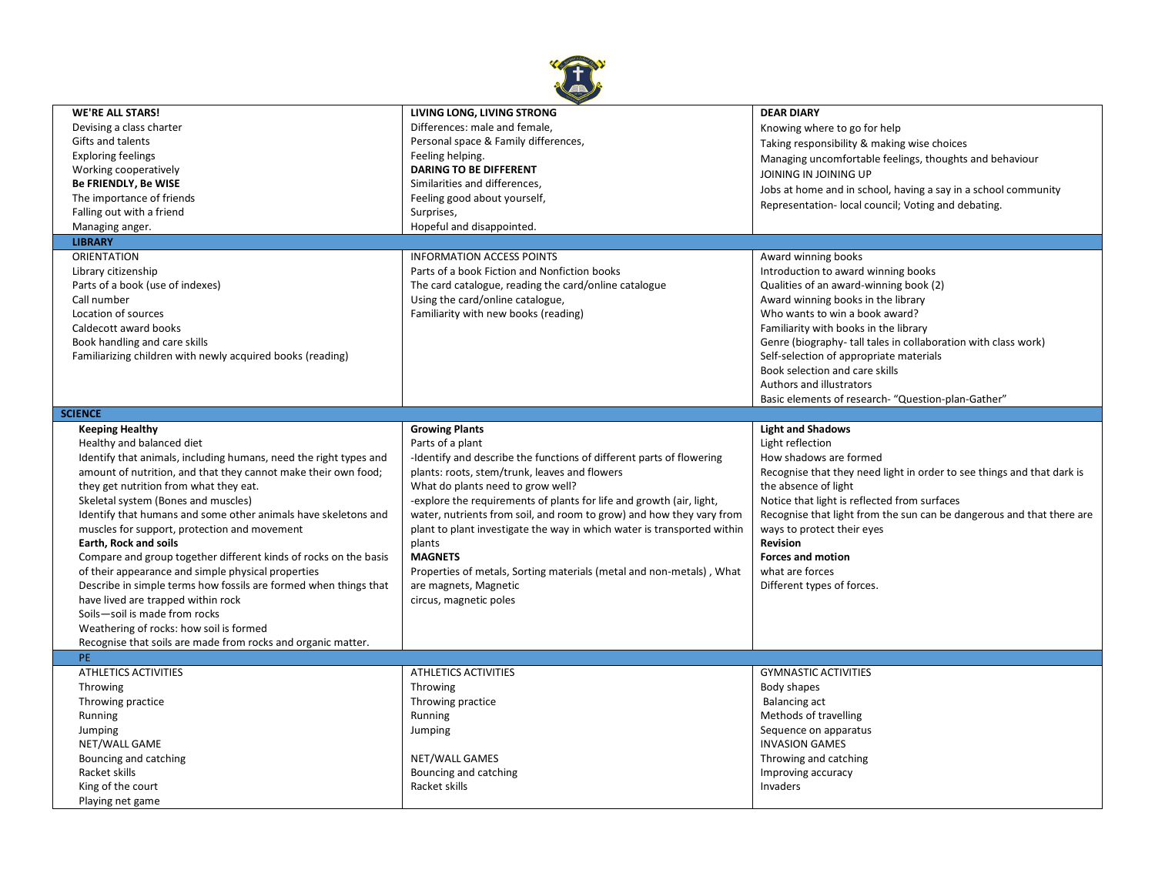

| <b>WE'RE ALL STARS!</b>                                           | LIVING LONG, LIVING STRONG                                              | <b>DEAR DIARY</b>                                                      |
|-------------------------------------------------------------------|-------------------------------------------------------------------------|------------------------------------------------------------------------|
| Devising a class charter                                          | Differences: male and female,                                           | Knowing where to go for help                                           |
| Gifts and talents                                                 | Personal space & Family differences,                                    | Taking responsibility & making wise choices                            |
| <b>Exploring feelings</b>                                         | Feeling helping.                                                        | Managing uncomfortable feelings, thoughts and behaviour                |
| Working cooperatively                                             | <b>DARING TO BE DIFFERENT</b>                                           | JOINING IN JOINING UP                                                  |
| <b>Be FRIENDLY, Be WISE</b>                                       | Similarities and differences,                                           |                                                                        |
| The importance of friends                                         | Feeling good about yourself,                                            | Jobs at home and in school, having a say in a school community         |
| Falling out with a friend                                         | Surprises,                                                              | Representation- local council; Voting and debating.                    |
| Managing anger.                                                   | Hopeful and disappointed.                                               |                                                                        |
| <b>LIBRARY</b>                                                    |                                                                         |                                                                        |
| <b>ORIENTATION</b>                                                | <b>INFORMATION ACCESS POINTS</b>                                        | Award winning books                                                    |
|                                                                   | Parts of a book Fiction and Nonfiction books                            | Introduction to award winning books                                    |
| Library citizenship                                               |                                                                         |                                                                        |
| Parts of a book (use of indexes)                                  | The card catalogue, reading the card/online catalogue                   | Qualities of an award-winning book (2)                                 |
| Call number                                                       | Using the card/online catalogue,                                        | Award winning books in the library                                     |
| Location of sources                                               | Familiarity with new books (reading)                                    | Who wants to win a book award?                                         |
| Caldecott award books                                             |                                                                         | Familiarity with books in the library                                  |
| Book handling and care skills                                     |                                                                         | Genre (biography-tall tales in collaboration with class work)          |
| Familiarizing children with newly acquired books (reading)        |                                                                         | Self-selection of appropriate materials                                |
|                                                                   |                                                                         | Book selection and care skills                                         |
|                                                                   |                                                                         | Authors and illustrators                                               |
|                                                                   |                                                                         | Basic elements of research- "Question-plan-Gather"                     |
| <b>SCIENCE</b>                                                    |                                                                         |                                                                        |
| <b>Keeping Healthy</b>                                            | <b>Growing Plants</b>                                                   | <b>Light and Shadows</b>                                               |
| Healthy and balanced diet                                         | Parts of a plant                                                        | Light reflection                                                       |
| Identify that animals, including humans, need the right types and | -Identify and describe the functions of different parts of flowering    | How shadows are formed                                                 |
| amount of nutrition, and that they cannot make their own food;    | plants: roots, stem/trunk, leaves and flowers                           | Recognise that they need light in order to see things and that dark is |
| they get nutrition from what they eat.                            | What do plants need to grow well?                                       | the absence of light                                                   |
| Skeletal system (Bones and muscles)                               | -explore the requirements of plants for life and growth (air, light,    | Notice that light is reflected from surfaces                           |
| Identify that humans and some other animals have skeletons and    | water, nutrients from soil, and room to grow) and how they vary from    | Recognise that light from the sun can be dangerous and that there are  |
| muscles for support, protection and movement                      | plant to plant investigate the way in which water is transported within | ways to protect their eyes                                             |
| Earth, Rock and soils                                             | plants                                                                  | <b>Revision</b>                                                        |
| Compare and group together different kinds of rocks on the basis  | <b>MAGNETS</b>                                                          | <b>Forces and motion</b>                                               |
| of their appearance and simple physical properties                | Properties of metals, Sorting materials (metal and non-metals), What    | what are forces                                                        |
| Describe in simple terms how fossils are formed when things that  |                                                                         |                                                                        |
| have lived are trapped within rock                                | are magnets, Magnetic                                                   | Different types of forces.                                             |
|                                                                   | circus, magnetic poles                                                  |                                                                        |
| Soils-soil is made from rocks                                     |                                                                         |                                                                        |
| Weathering of rocks: how soil is formed                           |                                                                         |                                                                        |
| Recognise that soils are made from rocks and organic matter.      |                                                                         |                                                                        |
| PE.                                                               |                                                                         |                                                                        |
| <b>ATHLETICS ACTIVITIES</b>                                       | <b>ATHLETICS ACTIVITIES</b>                                             | <b>GYMNASTIC ACTIVITIES</b>                                            |
| Throwing                                                          | Throwing                                                                | Body shapes                                                            |
| Throwing practice                                                 | Throwing practice                                                       | <b>Balancing act</b>                                                   |
| Running                                                           | Running                                                                 | Methods of travelling                                                  |
| Jumping                                                           | Jumping                                                                 | Sequence on apparatus                                                  |
| NET/WALL GAME                                                     |                                                                         | <b>INVASION GAMES</b>                                                  |
| Bouncing and catching                                             | NET/WALL GAMES                                                          | Throwing and catching                                                  |
| Racket skills                                                     | Bouncing and catching                                                   | Improving accuracy                                                     |
| King of the court                                                 | Racket skills                                                           | Invaders                                                               |
|                                                                   |                                                                         |                                                                        |